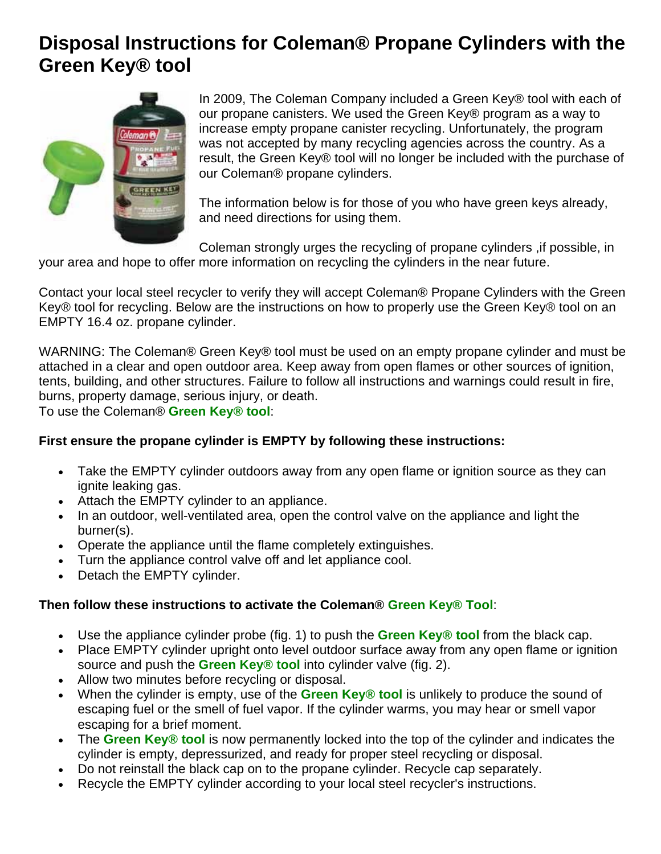#### **Disposal Instructions for Coleman® Propane Cylinders with the Green Key® tool**



In 2009, The Coleman Company included a Green Key® tool with each of our propane canisters. We used the Green Key® program as a way to increase empty propane canister recycling. Unfortunately, the program was not accepted by many recycling agencies across the country. As a result, the Green Key® tool will no longer be included with the purchase of our Coleman® propane cylinders.

The information below is for those of you who have green keys already, and need directions for using them.

Coleman strongly urges the recycling of propane cylinders ,if possible, in your area and hope to offer more information on recycling the cylinders in the near future.

Contact your local steel recycler to verify they will accept Coleman® Propane Cylinders with the Green Key® tool for recycling. Below are the instructions on how to properly use the Green Key® tool on an EMPTY 16.4 oz. propane cylinder.

WARNING: The Coleman® Green Key® tool must be used on an empty propane cylinder and must be attached in a clear and open outdoor area. Keep away from open flames or other sources of ignition, tents, building, and other structures. Failure to follow all instructions and warnings could result in fire, burns, property damage, serious injury, or death.

To use the Coleman® **Green Key® tool**:

#### **First ensure the propane cylinder is EMPTY by following these instructions:**

- Take the EMPTY cylinder outdoors away from any open flame or ignition source as they can ignite leaking gas.
- Attach the EMPTY cylinder to an appliance.
- In an outdoor, well-ventilated area, open the control valve on the appliance and light the burner(s).
- Operate the appliance until the flame completely extinguishes.
- Turn the appliance control valve off and let appliance cool.
- Detach the EMPTY cylinder.

#### **Then follow these instructions to activate the Coleman® Green Key® Tool**:

- Use the appliance cylinder probe (fig. 1) to push the **Green Key® tool** from the black cap.
- Place EMPTY cylinder upright onto level outdoor surface away from any open flame or ignition source and push the **Green Key® tool** into cylinder valve (fig. 2).
- Allow two minutes before recycling or disposal.
- When the cylinder is empty, use of the **Green Key® tool** is unlikely to produce the sound of escaping fuel or the smell of fuel vapor. If the cylinder warms, you may hear or smell vapor escaping for a brief moment.
- The **Green Key® tool** is now permanently locked into the top of the cylinder and indicates the cylinder is empty, depressurized, and ready for proper steel recycling or disposal.
- Do not reinstall the black cap on to the propane cylinder. Recycle cap separately.
- Recycle the EMPTY cylinder according to your local steel recycler's instructions.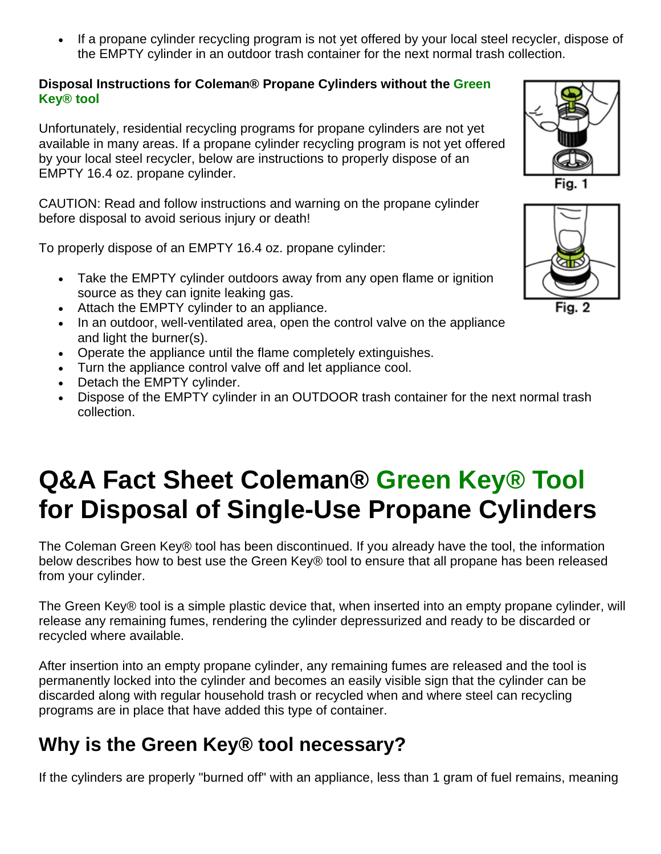If a propane cylinder recycling program is not yet offered by your local steel recycler, dispose of the EMPTY cylinder in an outdoor trash container for the next normal trash collection.

#### **Disposal Instructions for Coleman® Propane Cylinders without the Green Key® tool**

Unfortunately, residential recycling programs for propane cylinders are not yet available in many areas. If a propane cylinder recycling program is not yet offered by your local steel recycler, below are instructions to properly dispose of an EMPTY 16.4 oz. propane cylinder.

CAUTION: Read and follow instructions and warning on the propane cylinder before disposal to avoid serious injury or death!

To properly dispose of an EMPTY 16.4 oz. propane cylinder:

- Take the EMPTY cylinder outdoors away from any open flame or ignition source as they can ignite leaking gas.
- Attach the EMPTY cylinder to an appliance.
- In an outdoor, well-ventilated area, open the control valve on the appliance and light the burner(s).
- Operate the appliance until the flame completely extinguishes.
- Turn the appliance control valve off and let appliance cool.
- Detach the EMPTY cylinder.
- Dispose of the EMPTY cylinder in an OUTDOOR trash container for the next normal trash collection.

# **Q&A Fact Sheet Coleman® Green Key® Tool for Disposal of Single-Use Propane Cylinders**

The Coleman Green Key® tool has been discontinued. If you already have the tool, the information below describes how to best use the Green Key® tool to ensure that all propane has been released from your cylinder.

The Green Key® tool is a simple plastic device that, when inserted into an empty propane cylinder, will release any remaining fumes, rendering the cylinder depressurized and ready to be discarded or recycled where available.

After insertion into an empty propane cylinder, any remaining fumes are released and the tool is permanently locked into the cylinder and becomes an easily visible sign that the cylinder can be discarded along with regular household trash or recycled when and where steel can recycling programs are in place that have added this type of container.

## **Why is the Green Key® tool necessary?**

If the cylinders are properly "burned off" with an appliance, less than 1 gram of fuel remains, meaning



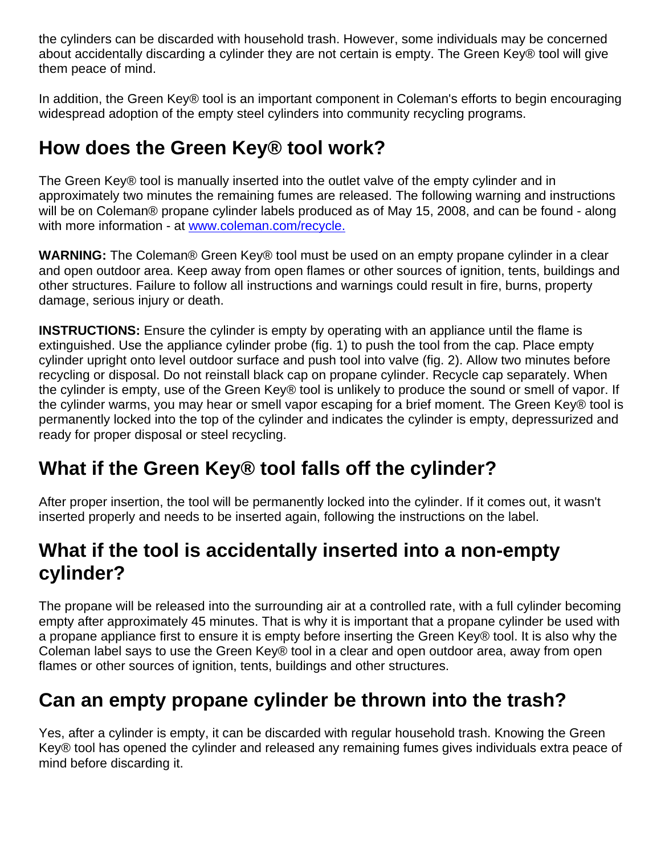the cylinders can be discarded with household trash. However, some individuals may be concerned about accidentally discarding a cylinder they are not certain is empty. The Green Key® tool will give them peace of mind.

In addition, the Green Key® tool is an important component in Coleman's efforts to begin encouraging widespread adoption of the empty steel cylinders into community recycling programs.

### **How does the Green Key® tool work?**

The Green Key® tool is manually inserted into the outlet valve of the empty cylinder and in approximately two minutes the remaining fumes are released. The following warning and instructions will be on Coleman® propane cylinder labels produced as of May 15, 2008, and can be found - along with more information - at www.coleman.com/recycle.

**WARNING:** The Coleman® Green Key® tool must be used on an empty propane cylinder in a clear and open outdoor area. Keep away from open flames or other sources of ignition, tents, buildings and other structures. Failure to follow all instructions and warnings could result in fire, burns, property damage, serious injury or death.

**INSTRUCTIONS:** Ensure the cylinder is empty by operating with an appliance until the flame is extinguished. Use the appliance cylinder probe (fig. 1) to push the tool from the cap. Place empty cylinder upright onto level outdoor surface and push tool into valve (fig. 2). Allow two minutes before recycling or disposal. Do not reinstall black cap on propane cylinder. Recycle cap separately. When the cylinder is empty, use of the Green Key® tool is unlikely to produce the sound or smell of vapor. If the cylinder warms, you may hear or smell vapor escaping for a brief moment. The Green Key® tool is permanently locked into the top of the cylinder and indicates the cylinder is empty, depressurized and ready for proper disposal or steel recycling.

## **What if the Green Key® tool falls off the cylinder?**

After proper insertion, the tool will be permanently locked into the cylinder. If it comes out, it wasn't inserted properly and needs to be inserted again, following the instructions on the label.

### **What if the tool is accidentally inserted into a non-empty cylinder?**

The propane will be released into the surrounding air at a controlled rate, with a full cylinder becoming empty after approximately 45 minutes. That is why it is important that a propane cylinder be used with a propane appliance first to ensure it is empty before inserting the Green Key® tool. It is also why the Coleman label says to use the Green Key® tool in a clear and open outdoor area, away from open flames or other sources of ignition, tents, buildings and other structures.

### **Can an empty propane cylinder be thrown into the trash?**

Yes, after a cylinder is empty, it can be discarded with regular household trash. Knowing the Green Key® tool has opened the cylinder and released any remaining fumes gives individuals extra peace of mind before discarding it.